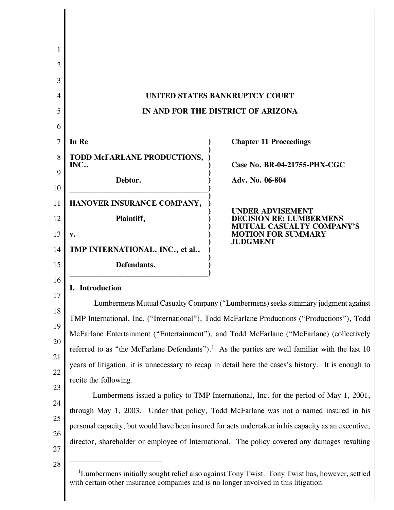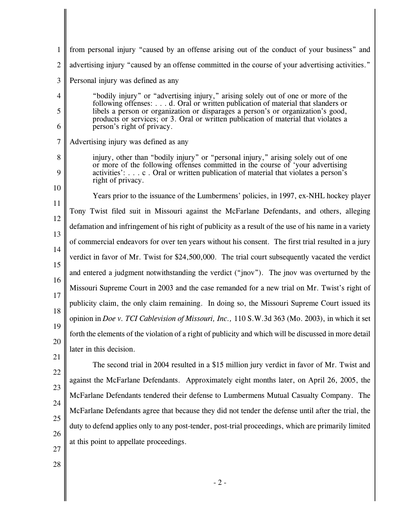| $\mathbf{1}$   | from personal injury "caused by an offense arising out of the conduct of your business" and                                                                                                                                                                 |
|----------------|-------------------------------------------------------------------------------------------------------------------------------------------------------------------------------------------------------------------------------------------------------------|
| $\overline{2}$ | advertising injury "caused by an offense committed in the course of your advertising activities."                                                                                                                                                           |
| 3              | Personal injury was defined as any                                                                                                                                                                                                                          |
| 4              | "bodily injury" or "advertising injury," arising solely out of one or more of the                                                                                                                                                                           |
| 5              | following offenses:  d. Oral or written publication of material that slanders or<br>libels a person or organization or disparages a person's or organization's good,<br>products or services; or 3. Oral or written publication of material that violates a |
| 6              | person's right of privacy.                                                                                                                                                                                                                                  |
| 7              | Advertising injury was defined as any                                                                                                                                                                                                                       |
| 8              | injury, other than "bodily injury" or "personal injury," arising solely out of one<br>or more of the following offenses committed in the course of 'your advertising                                                                                        |
| 9              | activities': c . Oral or written publication of material that violates a person's<br>right of privacy.                                                                                                                                                      |
| 10             | Years prior to the issuance of the Lumbermens' policies, in 1997, ex-NHL hockey player                                                                                                                                                                      |
| 11             | Tony Twist filed suit in Missouri against the McFarlane Defendants, and others, alleging                                                                                                                                                                    |
| 12             | defamation and infringement of his right of publicity as a result of the use of his name in a variety                                                                                                                                                       |
| 13             | of commercial endeavors for over ten years without his consent. The first trial resulted in a jury                                                                                                                                                          |
| 14             | verdict in favor of Mr. Twist for \$24,500,000. The trial court subsequently vacated the verdict                                                                                                                                                            |
| 15             | and entered a judgment notwithstanding the verdict ("jnov"). The jnov was overturned by the                                                                                                                                                                 |
| 16             | Missouri Supreme Court in 2003 and the case remanded for a new trial on Mr. Twist's right of                                                                                                                                                                |
| 17<br>18       | publicity claim, the only claim remaining. In doing so, the Missouri Supreme Court issued its                                                                                                                                                               |
| 19             | opinion in <i>Doe v. TCI Cablevision of Missouri, Inc.,</i> 110 S.W.3d 363 (Mo. 2003), in which it set                                                                                                                                                      |
| 20             | forth the elements of the violation of a right of publicity and which will be discussed in more detail                                                                                                                                                      |
| 21             | later in this decision.                                                                                                                                                                                                                                     |
| 22             | The second trial in 2004 resulted in a \$15 million jury verdict in favor of Mr. Twist and                                                                                                                                                                  |
| 23             | against the McFarlane Defendants. Approximately eight months later, on April 26, 2005, the                                                                                                                                                                  |
| 24             | McFarlane Defendants tendered their defense to Lumbermens Mutual Casualty Company. The                                                                                                                                                                      |
| 25             | McFarlane Defendants agree that because they did not tender the defense until after the trial, the                                                                                                                                                          |
| 26             | duty to defend applies only to any post-tender, post-trial proceedings, which are primarily limited                                                                                                                                                         |
| 27             | at this point to appellate proceedings.                                                                                                                                                                                                                     |
| 28             |                                                                                                                                                                                                                                                             |
|                | $-2-$                                                                                                                                                                                                                                                       |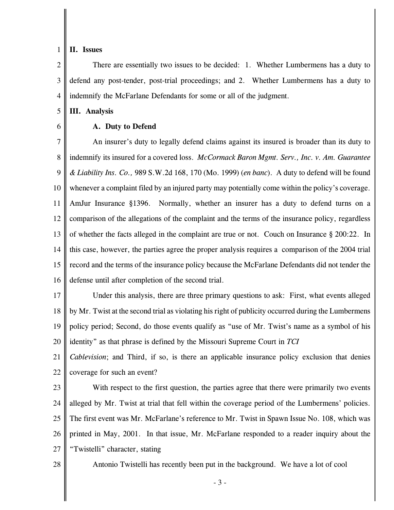## 1 **II. Issues**

2 3 4 There are essentially two issues to be decided: 1. Whether Lumbermens has a duty to defend any post-tender, post-trial proceedings; and 2. Whether Lumbermens has a duty to indemnify the McFarlane Defendants for some or all of the judgment.

5 **III. Analysis**

6

## **A. Duty to Defend**

7 8 9 10 11 12 13 14 15 16 An insurer's duty to legally defend claims against its insured is broader than its duty to indemnify its insured for a covered loss. *McCormack Baron Mgmt. Serv., Inc. v. Am. Guarantee & Liability Ins. Co.,* 989 S.W.2d 168, 170 (Mo. 1999) (*en banc*). A duty to defend will be found whenever a complaint filed by an injured party may potentially come within the policy's coverage. AmJur Insurance §1396. Normally, whether an insurer has a duty to defend turns on a comparison of the allegations of the complaint and the terms of the insurance policy, regardless of whether the facts alleged in the complaint are true or not. Couch on Insurance § 200:22. In this case, however, the parties agree the proper analysis requires a comparison of the 2004 trial record and the terms of the insurance policy because the McFarlane Defendants did not tender the defense until after completion of the second trial.

17 18 19 20 Under this analysis, there are three primary questions to ask: First, what events alleged by Mr. Twist at the second trial as violating his right of publicity occurred during the Lumbermens policy period; Second, do those events qualify as "use of Mr. Twist's name as a symbol of his identity" as that phrase is defined by the Missouri Supreme Court in *TCI*

21 22 *Cablevision*; and Third, if so, is there an applicable insurance policy exclusion that denies coverage for such an event?

23

24

25

26

27

With respect to the first question, the parties agree that there were primarily two events alleged by Mr. Twist at trial that fell within the coverage period of the Lumbermens' policies. The first event was Mr. McFarlane's reference to Mr. Twist in Spawn Issue No. 108, which was printed in May, 2001. In that issue, Mr. McFarlane responded to a reader inquiry about the "Twistelli" character, stating

28

Antonio Twistelli has recently been put in the background. We have a lot of cool

- 3 -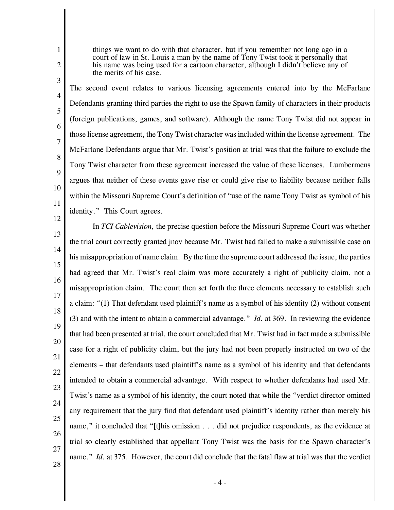things we want to do with that character, but if you remember not long ago in a court of law in St. Louis a man by the name of Tony Twist took it personally that his name was being used for a cartoon character, although I didn't believe any of the merits of his case.

3

4

5

6

7

8

9

10

11

1

2

The second event relates to various licensing agreements entered into by the McFarlane Defendants granting third parties the right to use the Spawn family of characters in their products (foreign publications, games, and software). Although the name Tony Twist did not appear in those license agreement, the Tony Twist character was included within the license agreement. The McFarlane Defendants argue that Mr. Twist's position at trial was that the failure to exclude the Tony Twist character from these agreement increased the value of these licenses. Lumbermens argues that neither of these events gave rise or could give rise to liability because neither falls within the Missouri Supreme Court's definition of "use of the name Tony Twist as symbol of his identity." This Court agrees.

12 13 14 15 16 17 18 19 20 21 22 23 24 25 26 27 28 In *TCI Cablevision,* the precise question before the Missouri Supreme Court was whether the trial court correctly granted jnov because Mr. Twist had failed to make a submissible case on his misappropriation of name claim. By the time the supreme court addressed the issue, the parties had agreed that Mr. Twist's real claim was more accurately a right of publicity claim, not a misappropriation claim. The court then set forth the three elements necessary to establish such a claim: "(1) That defendant used plaintiff's name as a symbol of his identity (2) without consent (3) and with the intent to obtain a commercial advantage." *Id.* at 369. In reviewing the evidence that had been presented at trial, the court concluded that Mr. Twist had in fact made a submissible case for a right of publicity claim, but the jury had not been properly instructed on two of the elements – that defendants used plaintiff's name as a symbol of his identity and that defendants intended to obtain a commercial advantage. With respect to whether defendants had used Mr. Twist's name as a symbol of his identity, the court noted that while the "verdict director omitted any requirement that the jury find that defendant used plaintiff's identity rather than merely his name," it concluded that "[t]his omission . . . did not prejudice respondents, as the evidence at trial so clearly established that appellant Tony Twist was the basis for the Spawn character's name." *Id.* at 375. However, the court did conclude that the fatal flaw at trial was that the verdict

 $-4-$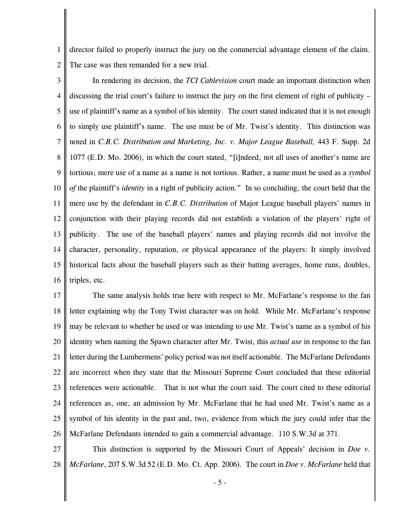1 2 director failed to properly instruct the jury on the commercial advantage element of the claim. The case was then remanded for a new trial.

3 4 5 6 7 8 9 10 11 12 13 14 15 16 In rendering its decision, the *TCI Cablevision* court made an important distinction when discussing the trial court's failure to instruct the jury on the first element of right of publicity – use of plaintiff's name as a symbol of his identity. The court stated indicated that it is not enough to simply use plaintiff's name. The use must be of Mr. Twist's identity. This distinction was noted in *C.B.C. Distribution and Marketing, Inc. v. Major League Baseball,* 443 F. Supp. 2d 1077 (E.D. Mo. 2006), in which the court stated, "[i]ndeed, not all uses of another's name are tortious; mere use of a name as a name is not tortious. Rather, a name must be used as a *symbol of* the plaintiff's *identity* in a right of publicity action." In so concluding, the court held that the mere use by the defendant in *C.B.C. Distribution* of Major League baseball players' names in conjunction with their playing records did not establish a violation of the players' right of publicity. The use of the baseball players' names and playing records did not involve the character, personality, reputation, or physical appearance of the players: It simply involved historical facts about the baseball players such as their batting averages, home runs, doubles, triples, etc.

17 18 19 20 21 22 23 24 25 26 The same analysis holds true here with respect to Mr. McFarlane's response to the fan letter explaining why the Tony Twist character was on hold. While Mr. McFarlane's response may be relevant to whether he used or was intending to use Mr. Twist's name as a symbol of his identity when naming the Spawn character after Mr. Twist, this *actual use* in response to the fan letter during the Lumbermens' policy period was not itself actionable. The McFarlane Defendants are incorrect when they state that the Missouri Supreme Court concluded that these editorial references were actionable. That is not what the court said. The court cited to these editorial references as, one, an admission by Mr. McFarlane that he had used Mr. Twist's name as a symbol of his identity in the past and, two, evidence from which the jury could infer that the McFarlane Defendants intended to gain a commercial advantage. 110 S.W.3d at 371.

27 28 This distinction is supported by the Missouri Court of Appeals' decision in *Doe v. McFarlane*, 207 S.W.3d 52 (E.D. Mo. Ct. App. 2006). The court in *Doe v. McFarlane* held that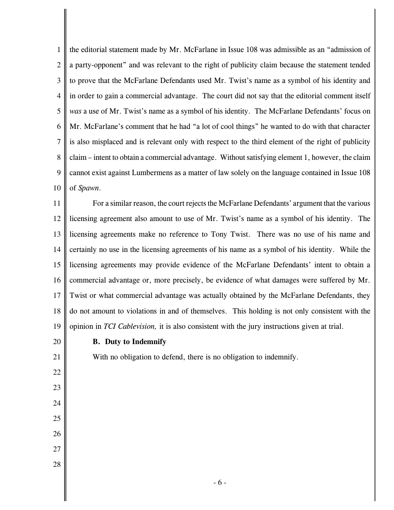1 2 3 4 5 6 7 8 9 10 the editorial statement made by Mr. McFarlane in Issue 108 was admissible as an "admission of a party-opponent" and was relevant to the right of publicity claim because the statement tended to prove that the McFarlane Defendants used Mr. Twist's name as a symbol of his identity and in order to gain a commercial advantage. The court did not say that the editorial comment itself *was* a use of Mr. Twist's name as a symbol of his identity. The McFarlane Defendants' focus on Mr. McFarlane's comment that he had "a lot of cool things" he wanted to do with that character is also misplaced and is relevant only with respect to the third element of the right of publicity claim – intent to obtain a commercial advantage. Without satisfying element 1, however, the claim cannot exist against Lumbermens as a matter of law solely on the language contained in Issue 108 of *Spawn*.

11 12 13 14 15 16 17 18 19 For a similar reason, the court rejects the McFarlane Defendants' argument that the various licensing agreement also amount to use of Mr. Twist's name as a symbol of his identity. The licensing agreements make no reference to Tony Twist. There was no use of his name and certainly no use in the licensing agreements of his name as a symbol of his identity. While the licensing agreements may provide evidence of the McFarlane Defendants' intent to obtain a commercial advantage or, more precisely, be evidence of what damages were suffered by Mr. Twist or what commercial advantage was actually obtained by the McFarlane Defendants, they do not amount to violations in and of themselves. This holding is not only consistent with the opinion in *TCI Cablevision,* it is also consistent with the jury instructions given at trial.

20 21

22

23

24

25

26

27

28

## **B. Duty to Indemnify**

With no obligation to defend, there is no obligation to indemnify.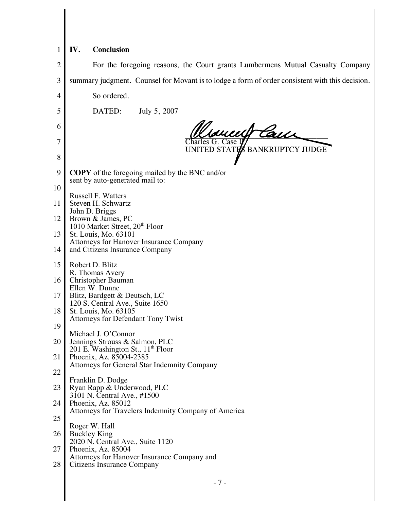## $1 \parallel W$ . **Conclusion**

| $\overline{c}$ | For the foregoing reasons, the Court grants Lumbermens Mutual Casualty Company                  |
|----------------|-------------------------------------------------------------------------------------------------|
| 3              | summary judgment. Counsel for Movant is to lodge a form of order consistent with this decision. |
|                |                                                                                                 |
| 4              | So ordered.                                                                                     |
| 5              | DATED:<br>July 5, 2007                                                                          |
| 6              | Trancerf Cauch                                                                                  |
| 7              | Charles G. Case I<br>UNITED STATES BANKRUPTCY JUDGE                                             |
| 8              |                                                                                                 |
| 9              | <b>COPY</b> of the foregoing mailed by the BNC and/or<br>sent by auto-generated mail to:        |
| 10             |                                                                                                 |
| 11             | <b>Russell F. Watters</b><br>Steven H. Schwartz                                                 |
| 12             | John D. Briggs<br>Brown & James, PC                                                             |
| 13             | 1010 Market Street, 20 <sup>th</sup> Floor<br>St. Louis, Mo. 63101                              |
| 14             | Attorneys for Hanover Insurance Company<br>and Citizens Insurance Company                       |
| 15             | Robert D. Blitz                                                                                 |
| 16             | R. Thomas Avery<br>Christopher Bauman                                                           |
| 17             | Ellen W. Dunne<br>Blitz, Bardgett & Deutsch, LC                                                 |
| 18             | 120 S. Central Ave., Suite 1650<br>St. Louis, Mo. 63105                                         |
| 19             | <b>Attorneys for Defendant Tony Twist</b>                                                       |
| 20             | Michael J. O'Connor                                                                             |
|                | Jennings Strouss & Salmon, PLC<br>201 E. Washington St., 11 <sup>th</sup> Floor                 |
| 21             | Phoenix, Az. 85004-2385<br><b>Attorneys for General Star Indemnity Company</b>                  |
| 22             | Franklin D. Dodge                                                                               |
| 23             | Ryan Rapp & Underwood, PLC<br>3101 N. Central Ave., #1500                                       |
| 24             | Phoenix, Az. 85012<br>Attorneys for Travelers Indemnity Company of America                      |
| 25             | Roger W. Hall                                                                                   |
| 26             | <b>Buckley King</b><br>2020 N. Central Ave., Suite 1120                                         |
| 27             | Phoenix, Az. 85004                                                                              |
| 28             | Attorneys for Hanover Insurance Company and<br>Citizens Insurance Company                       |
|                |                                                                                                 |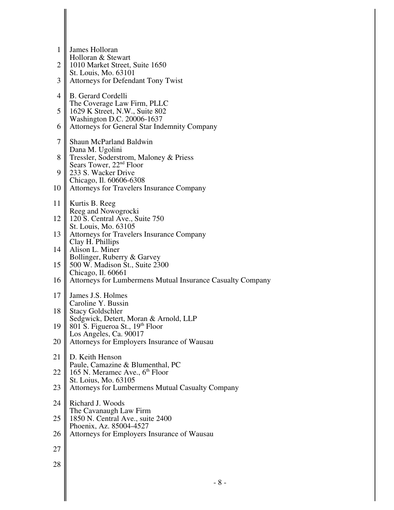| 1              | James Holloran<br>Holloran & Stewart                                          |
|----------------|-------------------------------------------------------------------------------|
| $\overline{2}$ | 1010 Market Street, Suite 1650<br>St. Louis, Mo. 63101                        |
| 3              | <b>Attorneys for Defendant Tony Twist</b>                                     |
| $\overline{4}$ | <b>B.</b> Gerard Cordelli<br>The Coverage Law Firm, PLLC                      |
| 5              | 1629 K Street, N.W., Suite 802<br>Washington D.C. 20006-1637                  |
| 6              | <b>Attorneys for General Star Indemnity Company</b>                           |
| 7              | <b>Shaun McParland Baldwin</b><br>Dana M. Ugolini                             |
| 8              | Tressler, Soderstrom, Maloney & Priess<br>Sears Tower, 22 <sup>nd</sup> Floor |
| 9              | 233 S. Wacker Drive<br>Chicago, Il. 60606-6308                                |
| 10             | <b>Attorneys for Travelers Insurance Company</b>                              |
| 11             | Kurtis B. Reeg<br>Reeg and Nowogrocki                                         |
| 12             | 120 S. Central Ave., Suite 750<br>St. Louis, Mo. 63105                        |
| 13             | <b>Attorneys for Travelers Insurance Company</b><br>Clay H. Phillips          |
| 14             | Alison L. Miner<br>Bollinger, Ruberry & Garvey                                |
| 15             | 500 W. Madison St., Suite 2300<br>Chicago, Il. 60661                          |
| 16             | Attorneys for Lumbermens Mutual Insurance Casualty Company                    |
| 17             | James J.S. Holmes<br>Caroline Y. Bussin                                       |
| 18             | <b>Stacy Goldschler</b><br>Sedgwick, Detert, Moran & Arnold, LLP              |
| 19             | 801 S. Figueroa St., 19th Floor<br>Los Angeles, Ca. 90017                     |
| 20             | Attorneys for Employers Insurance of Wausau                                   |
| 21             | D. Keith Henson<br>Paule, Camazine & Blumenthal, PC                           |
| 22             | 165 N. Meramec Ave., 6 <sup>th</sup> Floor<br>St. Loius, Mo. 63105            |
| 23             | <b>Attorneys for Lumbermens Mutual Casualty Company</b>                       |
| 24             | Richard J. Woods<br>The Cavanaugh Law Firm                                    |
| 25             | 1850 N. Central Ave., suite 2400<br>Phoenix, Az. 85004-4527                   |
| 26             | Attorneys for Employers Insurance of Wausau                                   |
| 27             |                                                                               |
| 28             |                                                                               |